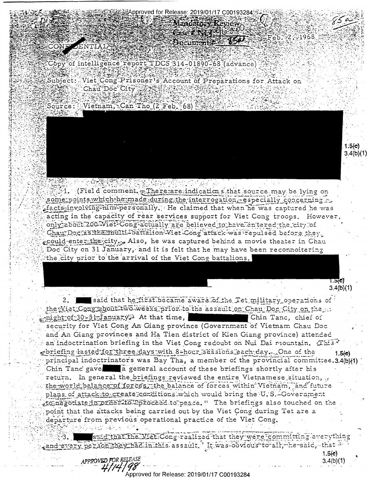Mandatory Reyiew Case in a stall which eb. 2, 21968 Document 150 Copy of intelligence report TDCS 314-01890-68 (advance)

proved for Release: 2019/01/17 C00193284

Subject: Viet Cong Prisoner's Account of Preparations for Attack on Chau<sup>T</sup>Doc City



1. (Field comment. - There are indications that source may be lying on

some points which he made during the interrogation, especially concerning. facts-involving him-personally. He claimed that when he was captured he was acting in the capacity of rear services support for Viet Cong troops. However, only about 200 Wiet Conglactually are believed to have entered the city of Chau Doc as ithe multi-battalion Viet Cong attack was repulsed before they could enter the city , Also, he was captured behind a movie theater in Chau Doc City on 31 January, and it is felt that he may have been reconnoitering the city prior to the arrival of the Viet Cong battalions.

> েন্টা  $3.4(b)(1)$

 $1.5(e)$ 

 $3.4(b)(1)$ 

said that he fizst became aware of the Tet military operations of  $2.$ the Wiet Conglabout two weeks prior to the assault on Chau Doc City on the  $\text{min}(\text{th} - 30 - 31)$  anuary. At that time, Chin Tanc, chief of security for Viet Cong An Giang province (Government of Vietnam Chau Doc and An Giang provinces and Ha Tien district of Kien Giang province) attended an indoctrination briefing in the Viet Cong redoubt on Nui Dai mountain. This priefing lasted for three days with 8-hour sessions each day, One of the  $1.5(e)$ principal indoctrinators was Bay Tha, a member of the provincial committee.3.4(b)(1) Chin Tanc gave a general account of these briefings shortly after his return. In general the briefings reviewed the entire Vietnamese situation, the world balance of forces, the balance of forces within Vietnam, and future plans of attack to create conditions which would bring the U.S.-Government -to negotiate in preer-fo proceed to peace." The briefings also touched on the point that the attacks being carried out by the Viet Cong during Tet are a departure from previous operational practice of the Viet Cong. 

smid that the Viet Cong realized that they were committing everything cand every person they had in this assault. It was obvious to all, he said, that

APPROVED FOR RELEASE